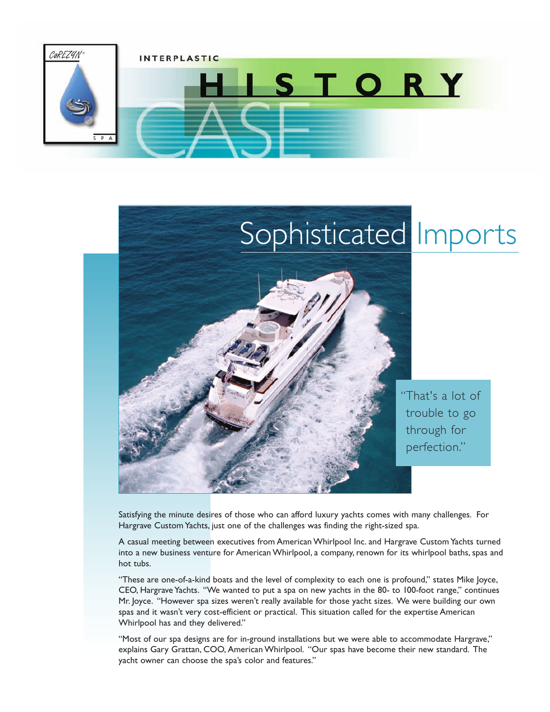

## Sophisticated Imports



"That's a lot of trouble to go through for perfection."

Satisfying the minute desires of those who can afford luxury yachts comes with many challenges. For Hargrave Custom Yachts, just one of the challenges was finding the right-sized spa.

A casual meeting between executives from American Whirlpool Inc. and Hargrave Custom Yachts turned into a new business venture for American Whirlpool, a company, renown for its whirlpool baths, spas and hot tubs.

"These are one-of-a-kind boats and the level of complexity to each one is profound," states Mike Joyce, CEO, Hargrave Yachts. "We wanted to put a spa on new yachts in the 80- to 100-foot range," continues Mr. Joyce. "However spa sizes weren't really available for those yacht sizes. We were building our own spas and it wasn't very cost-efficient or practical. This situation called for the expertise American Whirlpool has and they delivered."

"Most of our spa designs are for in-ground installations but we were able to accommodate Hargrave," explains Gary Grattan, COO, American Whirlpool. "Our spas have become their new standard. The yacht owner can choose the spa's color and features."